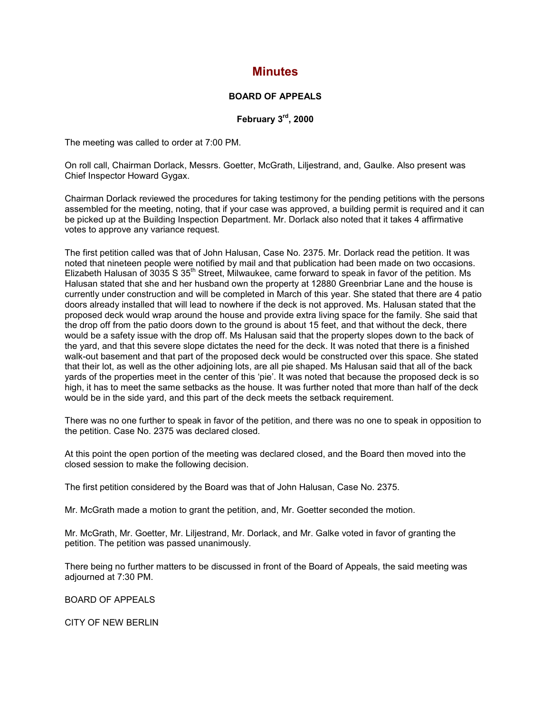## **Minutes**

## **BOARD OF APPEALS**

**February 3rd, 2000**

The meeting was called to order at 7:00 PM.

On roll call, Chairman Dorlack, Messrs. Goetter, McGrath, Liljestrand, and, Gaulke. Also present was Chief Inspector Howard Gygax.

Chairman Dorlack reviewed the procedures for taking testimony for the pending petitions with the persons assembled for the meeting, noting, that if your case was approved, a building permit is required and it can be picked up at the Building Inspection Department. Mr. Dorlack also noted that it takes 4 affirmative votes to approve any variance request.

The first petition called was that of John Halusan, Case No. 2375. Mr. Dorlack read the petition. It was noted that nineteen people were notified by mail and that publication had been made on two occasions. Elizabeth Halusan of 3035 S  $35<sup>th</sup>$  Street, Milwaukee, came forward to speak in favor of the petition. Ms Halusan stated that she and her husband own the property at 12880 Greenbriar Lane and the house is currently under construction and will be completed in March of this year. She stated that there are 4 patio doors already installed that will lead to nowhere if the deck is not approved. Ms. Halusan stated that the proposed deck would wrap around the house and provide extra living space for the family. She said that the drop off from the patio doors down to the ground is about 15 feet, and that without the deck, there would be a safety issue with the drop off. Ms Halusan said that the property slopes down to the back of the yard, and that this severe slope dictates the need for the deck. It was noted that there is a finished walk-out basement and that part of the proposed deck would be constructed over this space. She stated that their lot, as well as the other adjoining lots, are all pie shaped. Ms Halusan said that all of the back yards of the properties meet in the center of this 'pie'. It was noted that because the proposed deck is so high, it has to meet the same setbacks as the house. It was further noted that more than half of the deck would be in the side yard, and this part of the deck meets the setback requirement.

There was no one further to speak in favor of the petition, and there was no one to speak in opposition to the petition. Case No. 2375 was declared closed.

At this point the open portion of the meeting was declared closed, and the Board then moved into the closed session to make the following decision.

The first petition considered by the Board was that of John Halusan, Case No. 2375.

Mr. McGrath made a motion to grant the petition, and, Mr. Goetter seconded the motion.

Mr. McGrath, Mr. Goetter, Mr. Liljestrand, Mr. Dorlack, and Mr. Galke voted in favor of granting the petition. The petition was passed unanimously.

There being no further matters to be discussed in front of the Board of Appeals, the said meeting was adjourned at 7:30 PM.

BOARD OF APPEALS

CITY OF NEW BERLIN